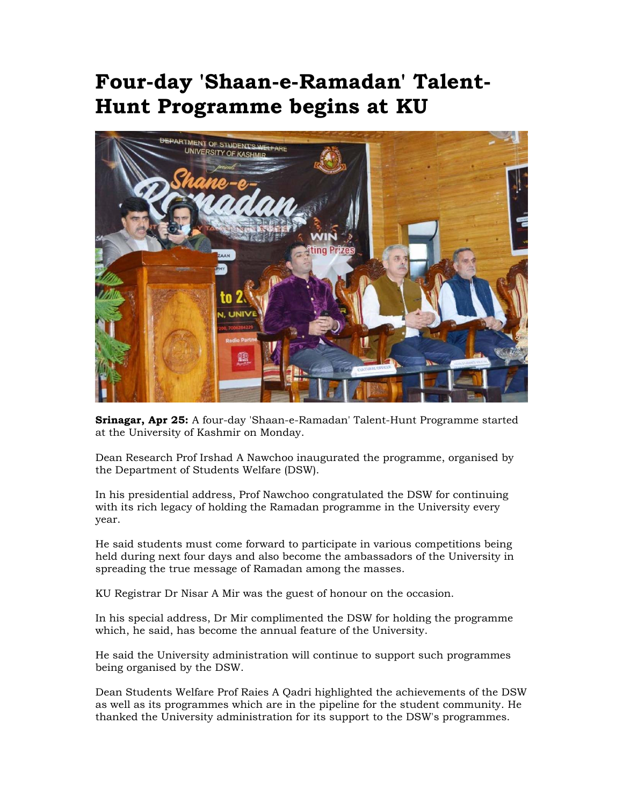## **Four-day 'Shaan-e-Ramadan' Talent-Hunt Programme begins at KU**



**Srinagar, Apr 25:** A four-day 'Shaan-e-Ramadan' Talent-Hunt Programme started at the University of Kashmir on Monday.

Dean Research Prof Irshad A Nawchoo inaugurated the programme, organised by the Department of Students Welfare (DSW).

In his presidential address, Prof Nawchoo congratulated the DSW for continuing with its rich legacy of holding the Ramadan programme in the University every year.

He said students must come forward to participate in various competitions being held during next four days and also become the ambassadors of the University in spreading the true message of Ramadan among the masses.

KU Registrar Dr Nisar A Mir was the guest of honour on the occasion.

In his special address, Dr Mir complimented the DSW for holding the programme which, he said, has become the annual feature of the University.

He said the University administration will continue to support such programmes being organised by the DSW.

Dean Students Welfare Prof Raies A Qadri highlighted the achievements of the DSW as well as its programmes which are in the pipeline for the student community. He thanked the University administration for its support to the DSW's programmes.